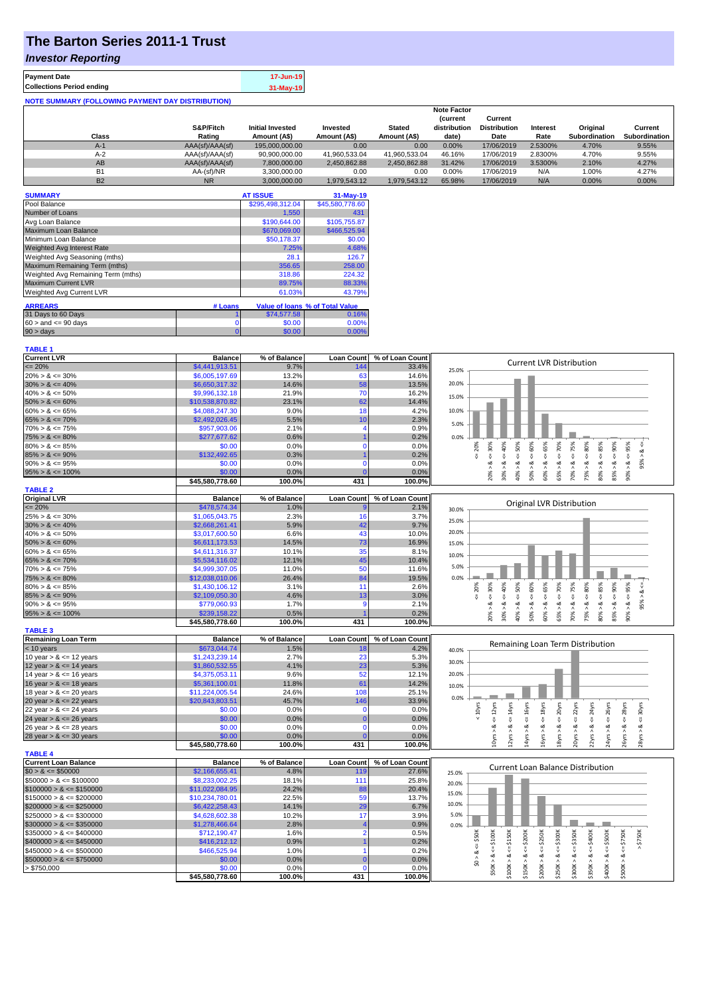# **The Barton Series 2011-1 Trust**

### *Investor Reporting*

| <b>Payment Date</b>                                      | 17-Jun-19 |
|----------------------------------------------------------|-----------|
| <b>Collections Period ending</b>                         | 31-May-19 |
| <b>NOTE SUMMARY (FOLLOWING PAYMENT DAY DISTRIBUTION)</b> |           |

|                |                 |                         |               |               | <b>Note Factor</b> |                     |                 |               |               |
|----------------|-----------------|-------------------------|---------------|---------------|--------------------|---------------------|-----------------|---------------|---------------|
|                |                 |                         |               |               | <b>Current</b>     | Current             |                 |               |               |
|                | S&P/Fitch       | <b>Initial Invested</b> | Invested      | <b>Stated</b> | distribution       | <b>Distribution</b> | <b>Interest</b> | Original      | Current       |
| Class          | Rating          | Amount (A\$)            | Amount (A\$)  | Amount (A\$)  | date)              | Date                | Rate            | Subordination | Subordination |
| $A-1$          | AAA(sf)/AAA(sf) | 195,000,000,00          | 0.00          | 0.00          | 0.00%              | 17/06/2019          | 2.5300%         | 4.70%         | 9.55%         |
| $A-2$          | AAA(sf)/AAA(sf) | 90,900,000.00           | 41.960.533.04 | 41.960.533.04 | 46.16%             | 17/06/2019          | 2.8300%         | 4.70%         | 9.55%         |
| AB             | AAA(sf)/AAA(sf) | 7,800,000.00            | 2.450.862.88  | 2.450.862.88  | 31.42%             | 17/06/2019          | 3.5300%         | 2.10%         | 4.27%         |
| B <sub>1</sub> | AA-(sf)/NR      | 3.300.000.00            | 0.00          | 0.00          | 0.00%              | 17/06/2019          | N/A             | 1.00%         | 4.27%         |
| <b>B2</b>      | <b>NR</b>       | 3.000.000.00            | 1.979.543.12  | 1.979.543.12  | 65.98%             | 17/06/2019          | N/A             | $0.00\%$      | 0.00%         |

| <b>SUMMARY</b>                     |         | <b>AT ISSUE</b>  | 31-May-19                       |
|------------------------------------|---------|------------------|---------------------------------|
| Pool Balance                       |         | \$295,498,312.04 | \$45,580,778.60                 |
| Number of Loans                    |         | 1,550            | 431                             |
| Avg Loan Balance                   |         | \$190,644.00     | \$105,755.87                    |
| Maximum Loan Balance               |         | \$670,069.00     | \$466,525.94                    |
| Minimum Loan Balance               |         | \$50,178.37      | \$0.00                          |
| <b>Weighted Avg Interest Rate</b>  |         | 7.25%            | 4.68%                           |
| Weighted Avg Seasoning (mths)      |         | 28.1             | 126.7                           |
| Maximum Remaining Term (mths)      |         | 356.65           | 258.00                          |
| Weighted Avg Remaining Term (mths) |         | 318.86           | 224.32                          |
| <b>Maximum Current LVR</b>         |         | 89.75%           | 88.33%                          |
| Weighted Avg Current LVR           |         | 61.03%           | 43.79%                          |
| <b>ARREARS</b>                     | # Loans |                  | Value of Ioans % of Total Value |
| 31 Days to 60 Days                 |         | \$74,577.58      | 0.16%                           |
|                                    |         |                  |                                 |
| $60 >$ and $\leq 90$ days          | 0       | \$0.00           | 0.00%                           |
| $90 > \text{days}$                 | 0       | \$0.00           | 0.00%                           |

| <b>Current LVR</b>          | <b>Balance</b>            | % of Balance   | <b>Loan Count</b> | % of Loan Count | <b>Current LVR Distribution</b>                                                                                                                                                                                     |
|-----------------------------|---------------------------|----------------|-------------------|-----------------|---------------------------------------------------------------------------------------------------------------------------------------------------------------------------------------------------------------------|
| $\leq$ 20%                  | \$4,441,913.51            | 9.7%           | 144               | 33.4%           | 25.0%                                                                                                                                                                                                               |
| $20\% > 8 \le 30\%$         | \$6,005,197.69            | 13.2%          | 63                | 14.6%           |                                                                                                                                                                                                                     |
| $30\% > 8 \le 40\%$         | \$6,650,317.32            | 14.6%          | 58                | 13.5%           | 20.0%                                                                                                                                                                                                               |
| $40\% > 8 \le 50\%$         | \$9,996,132.18            | 21.9%          | 70                | 16.2%           | 15.0%                                                                                                                                                                                                               |
| $50\% > 8 \le 60\%$         | \$10,538,870.82           | 23.1%          | 62                | 14.4%           |                                                                                                                                                                                                                     |
| $60\% > 8 \le 65\%$         | \$4,088,247.30            | 9.0%           | 18                | 4.2%            | 10.0%                                                                                                                                                                                                               |
| $65\% > 8 \le 70\%$         | \$2,492,026.45            | 5.5%           | 10                | 2.3%            | 5.0%                                                                                                                                                                                                                |
| $70\% > 8 \le 75\%$         | \$957,903.06              | 2.1%           |                   | 0.9%            |                                                                                                                                                                                                                     |
| $75\% > 8 \le 80\%$         | \$277,677.62              | 0.6%           |                   | 0.2%            | 0.0%                                                                                                                                                                                                                |
| $80\% > 8 \le 85\%$         | \$0.00                    | 0.0%           |                   | 0.0%            | 75%<br>$4 = 20\%$<br>$<< = 30\%$<br>50%<br>40%<br>80%                                                                                                                                                               |
| $85\% > 8 \le 90\%$         | \$132,492.65              | 0.3%           |                   | 0.2%            | $95\% > 8 <$<br>$<=$                                                                                                                                                                                                |
| $90\% > 8 \le 95\%$         | \$0.00                    | 0.0%           | n                 | 0.0%            |                                                                                                                                                                                                                     |
| $95\% > 8 \le 100\%$        | \$0.00                    | 0.0%           |                   | 0.0%            | $50\% > 8 <= 60\%$<br>$60\% > 8 < = 65\%$<br>$65\% > 8 \le x = 70\%$<br>$80\% > 8 <= 85\%$<br>$85\% > 8 <= 90\%$<br>$90\% > 8 <= 95\%$<br>$30\% > 8$ <=<br>$70\% > 8 <$<br>75% > 8 <<br>$20\% > 8$<br>$40\%$ $>$    |
|                             | \$45,580,778.60           | 100.0%         | 431               | 100.0%          |                                                                                                                                                                                                                     |
| <b>TABLE 2</b>              |                           |                |                   |                 |                                                                                                                                                                                                                     |
| <b>Original LVR</b>         | <b>Balance</b>            | % of Balance   | <b>Loan Count</b> | % of Loan Count | <b>Original LVR Distribution</b>                                                                                                                                                                                    |
| $\epsilon = 20\%$           | \$478,574.34              | 1.0%           |                   | 2.1%            | 30.0%                                                                                                                                                                                                               |
| $25\% > 8 \le 30\%$         | \$1,065,043.75            | 2.3%           | 16                | 3.7%            | 25.0%                                                                                                                                                                                                               |
| $30\% > 8 \le 40\%$         | \$2,668,261.41            | 5.9%           | 42                | 9.7%            |                                                                                                                                                                                                                     |
| $40\% > 8 \le 50\%$         | \$3,017,600.50            | 6.6%           | 43                | 10.0%           | 20.0%                                                                                                                                                                                                               |
| $50\% > 8 \le 60\%$         | \$6,611,173.53            | 14.5%          | 73                | 16.9%           | 15.0%                                                                                                                                                                                                               |
| $60\% > 8 \le 65\%$         | \$4,611,316.37            | 10.1%          | 35                | 8.1%            | 10.0%                                                                                                                                                                                                               |
| $65\% > 8 \le 70\%$         | \$5,534,116.02            | 12.1%          | 45                | 10.4%           | 5.0%                                                                                                                                                                                                                |
| $70\% > 8 \le 75\%$         | \$4,999,307.05            | 11.0%          | 50                | 11.6%           |                                                                                                                                                                                                                     |
| $75\% > 8 \le 80\%$         | \$12,038,010.06           | 26.4%          | 84                | 19.5%           | 0.0%                                                                                                                                                                                                                |
| $80\% > 8 \le 85\%$         | \$1,430,106.12            | 3.1%           | 11                | 2.6%            | $4 = 75%$<br>$4 = 90\%$<br>$4 = 30\%$<br>40%<br>50%<br>$4 = 65%$<br>$4 = 70\%$<br>80%<br>20%                                                                                                                        |
| $85\% > 8 \le 90\%$         | \$2,109,050.30            | 4.6%           | 13                | 3.0%            | $4 = 60\%$<br>$4 = 95\%$<br>$95\% > 8 <=$<br>IJ<br>₹<br>IJ,                                                                                                                                                         |
| $90\% > 8 \le 95\%$         | \$779,060.93              | 1.7%           | g                 | 2.1%            | ઌ<br>ż<br>ಷ<br>œ                                                                                                                                                                                                    |
| $95\% > 8 \le 100\%$        | \$239,158.22              | 0.5%           |                   | 0.2%            | $80\% > 8 <= 85\%$<br>$50\% > 8.$<br>65% > 8<br>85% > 8.<br>$90\% > 8$<br>$70\% > 8.$<br>20% > 8<br>30%<br>60%<br>75% ><br>40% >                                                                                    |
|                             | \$45,580,778.60           | 100.0%         | 431               | 100.0%          |                                                                                                                                                                                                                     |
| <b>TABLE 3</b>              |                           |                |                   |                 |                                                                                                                                                                                                                     |
| <b>Remaining Loan Term</b>  | <b>Balance</b>            | % of Balance   | <b>Loan Count</b> | % of Loan Count | Remaining Loan Term Distribution                                                                                                                                                                                    |
|                             |                           |                |                   |                 |                                                                                                                                                                                                                     |
| < 10 years                  | \$673,044.74              | 1.5%           | 18                | 4.2%            | 40.0%                                                                                                                                                                                                               |
| 10 year $> 8 \le 12$ years  | \$1,243,239.14            | 2.7%           | 23                | 5.3%            | 30.0%                                                                                                                                                                                                               |
| 12 year $> 8 \le 14$ years  | \$1,860,532.55            | 4.1%           | 23                | 5.3%            |                                                                                                                                                                                                                     |
| 14 year $> 8 \le 16$ years  | \$4,375,053.11            | 9.6%           | 52                | 12.1%           | 20.0%                                                                                                                                                                                                               |
| 16 year $> 8 \le 18$ years  | \$5,361,100.01            | 11.8%          | 61                | 14.2%           | 10.0%                                                                                                                                                                                                               |
| 18 year $> 8 \le 20$ years  | \$11,224,005.54           | 24.6%          | 108               | 25.1%           |                                                                                                                                                                                                                     |
| 20 year $> 8 \le 22$ years  | \$20,843,803.51           | 45.7%          | 146               | 33.9%           | 0.0%                                                                                                                                                                                                                |
| 22 year $> 8 \le 24$ years  | \$0.00                    | 0.0%           | $\Omega$          | 0.0%            | 16yrs<br>24yrs                                                                                                                                                                                                      |
| 24 year $> 8 \le 26$ years  | \$0.00                    | 0.0%           | $\Omega$          | 0.0%            | $\leq$ 20 $\gamma$ rs<br>$\leq 14$ yrs<br>$4 = 18$ yrs<br>$\epsilon$ = 22 $\gamma$ rs<br>$\epsilon$ = 28yrs<br>$\leq 12$ yrs<br>$\epsilon$ 26yrs<br>$\leq$ 30yrs<br>$< 10$ yrs<br>$\stackrel{II}{\vee}$<br>Ŷ        |
| 26 year $> 8 \le 28$ years  | \$0.00                    | 0.0%           | $\mathbf 0$       | 0.0%            | ಷ<br>≪<br>∞                                                                                                                                                                                                         |
| 28 year $> 8 \le 30$ years  | \$0.00                    | 0.0%           |                   | 0.0%            |                                                                                                                                                                                                                     |
|                             | \$45,580,778.60           | 100.0%         | 431               | 100.0%          | 10yrs > 8<br>12yrs > 8<br>20yrs > 8<br>2yrs > 8<br>24yrs > 8<br>26yrs > 8<br>28yrs > 8<br>14yrs<br>L6yrs ><br>L8yrs >                                                                                               |
| <b>TABLE 4</b>              |                           |                |                   |                 |                                                                                                                                                                                                                     |
| <b>Current Loan Balance</b> | <b>Balance</b>            | % of Balance   | <b>Loan Count</b> | % of Loan Count | <b>Current Loan Balance Distribution</b>                                                                                                                                                                            |
| $$0 > 8 \le $50000$         | \$2,166,655.41            | 4.8%           | 119               | 27.6%           | 25.0%                                                                                                                                                                                                               |
| $$50000 > 8 \le $100000$    | \$8,233,002.25            | 18.1%          | 111               | 25.8%           | 20.0%                                                                                                                                                                                                               |
| $$100000 > 8 \le $150000$   | \$11,022,084.95           | 24.2%          | 88                | 20.4%           | 15.0%                                                                                                                                                                                                               |
| $$150000 > 8 \leq $200000$  | \$10,234,780.01           | 22.5%          | 59                | 13.7%           | 10.0%                                                                                                                                                                                                               |
| $$200000 > 8 \leq $250000$  | \$6,422,258.43            | 14.1%          | 29                | 6.7%            |                                                                                                                                                                                                                     |
| $$250000 > 8 \leq $300000$  | \$4,628,602.38            | 10.2%          | 17                | 3.9%            | 5.0%                                                                                                                                                                                                                |
| $$300000 > 8 \leq $350000$  | \$1,278,466.64            | 2.8%           |                   | 0.9%            | 0.0%                                                                                                                                                                                                                |
| $$350000 > 8 \le $400000$   | \$712,190.47              | 1.6%           |                   | 0.5%            |                                                                                                                                                                                                                     |
| $$400000 > 8 \leq $450000$  | \$416,212.12              | 0.9%           |                   | 0.2%            | \$750K                                                                                                                                                                                                              |
| $$450000 > 8 \le $500000$   | \$466,525.94              | 1.0%           |                   | 0.2%            |                                                                                                                                                                                                                     |
| $$500000 > 8 \leq $750000$  | \$0.00                    | 0.0%           | $\Omega$          | 0.0%            | $$0 > 8 < = $50K$                                                                                                                                                                                                   |
| > \$750,000                 | \$0.00<br>\$45,580,778.60 | 0.0%<br>100.0% | 431               | 0.0%<br>100.0%  | $$50K > 8 <= $100K$<br>$$200K > 8 \le = $250K$<br>$$150K > <= $200K$$<br>$$250K > 8 <= $300K$<br>$$300K > 8 <= $350K$<br>$$400K > <= $500K$<br>$$100K > 8 <= $150K$<br>$$350K > 8 <= $400K$<br>$$500K > 8 <= $750K$ |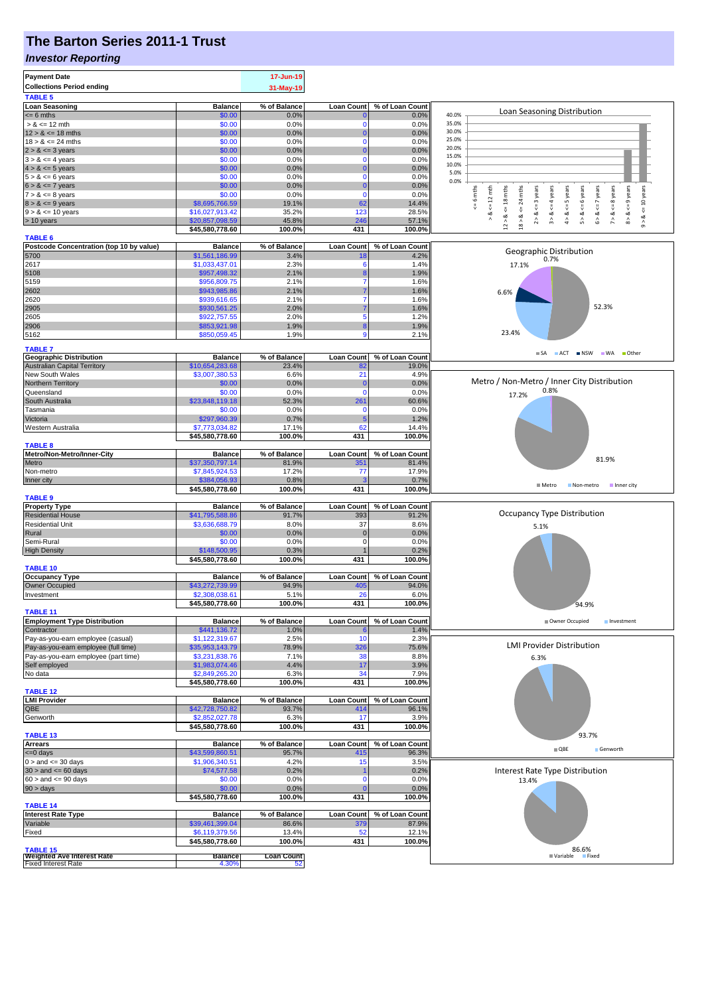# **The Barton Series 2011-1 Trust**

#### *Investor Reporting*

| <b>Payment Date</b><br><b>Collections Period ending</b><br><b>TABLE 5</b> |                                   | 17-Jun-19<br>31-May-19 |                          |                          |                                                                                                                         |
|---------------------------------------------------------------------------|-----------------------------------|------------------------|--------------------------|--------------------------|-------------------------------------------------------------------------------------------------------------------------|
| <b>Loan Seasoning</b>                                                     | <b>Balance</b>                    | % of Balance           | <b>Loan Count</b>        | % of Loan Count          |                                                                                                                         |
| $= 6$ mths                                                                | \$0.00                            | 0.0%                   |                          | 0.0%                     | Loan Seasoning Distribution<br>40.0%                                                                                    |
| $> 8 \le 12$ mth                                                          | \$0.00                            | 0.0%                   | 0                        | 0.0%                     | 35.0%                                                                                                                   |
| $12 > 8 \le 18$ mths<br>$18 > 8 \le 24$ mths                              | \$0.00<br>\$0.00                  | 0.0%<br>0.0%           | $\bf{0}$<br>0            | 0.0%<br>0.0%             | 30.0%<br>25.0%                                                                                                          |
| $2 > 8 \le 3$ years                                                       | \$0.00                            | 0.0%                   | $\Omega$                 | 0.0%                     | 20.0%                                                                                                                   |
| $3 > 8 \le 4$ years                                                       | \$0.00                            | 0.0%                   | $\Omega$                 | 0.0%                     | 15.0%                                                                                                                   |
| $4 > 8 \le 5$ years                                                       | \$0.00                            | 0.0%                   | 0                        | 0.0%                     | 10.0%<br>5.0%                                                                                                           |
| $5 > 8 \le 6$ years                                                       | \$0.00                            | 0.0%                   | $\mathbf 0$              | 0.0%                     | 0.0%                                                                                                                    |
| $6 > 8 \le 7$ years                                                       | \$0.00                            | 0.0%                   | $\bf{0}$<br>$\Omega$     | 0.0%                     | $\leq$ = 9 years<br>mths<br>years<br>6 years<br>$\leq$ 7 years                                                          |
| $7 > 8 \le 8$ years<br>$8 > 8 \le 9$ years                                | \$0.00<br>\$8,695,766.59          | 0.0%<br>19.1%          | 62                       | 0.0%<br>14.4%            | <= 10 years<br>$= 6$ mths<br>$\leq 12$ mth<br>$\leq$ = 4 years<br>$\le$ = 5 years<br>$\leq$ 8 years<br>24<br>$\leq$ = 3 |
| $9 > 8 \le 10$ years                                                      | \$16,027,913.42                   | 35.2%                  | 123                      | 28.5%                    | $\overset{\shortparallel}{\mathsf{v}}$<br>₩<br>ವ                                                                        |
| > 10 years                                                                | \$20,857,098.59                   | 45.8%                  | 246                      | 57.1%                    | $12 > 8$ <= 18 mths<br>2 > 8<br>3 > 8<br>4 > 8<br>5 > 8<br>6 > 8<br>7 > 8<br>$8 - 8$<br>$18 > 8$<br>∞                   |
|                                                                           | \$45,580,778.60                   | 100.0%                 | 431                      | 100.0%                   |                                                                                                                         |
| <b>TABLE 6</b><br>Postcode Concentration (top 10 by value)                | <b>Balance</b>                    | % of Balance           | <b>Loan Count</b>        | % of Loan Count          |                                                                                                                         |
| 5700                                                                      | \$1,561,186.99                    | 3.4%                   |                          | 4.2%                     | Geographic Distribution<br>0.7%                                                                                         |
| 2617                                                                      | \$1,033,437.01                    | 2.3%                   | 6                        | 1.4%                     | 17.1%                                                                                                                   |
| 5108                                                                      | \$957,498.32                      | 2.1%                   |                          | 1.9%                     |                                                                                                                         |
| 5159                                                                      | \$956,809.75                      | 2.1%                   | 7                        | 1.6%                     |                                                                                                                         |
| 2602<br>2620                                                              | \$943,985.86<br>\$939,616.65      | 2.1%<br>2.1%           |                          | 1.6%<br>1.6%             | 6.6%                                                                                                                    |
| 2905                                                                      | \$930,561.25                      | 2.0%                   |                          | 1.6%                     | 52.3%                                                                                                                   |
| 2605                                                                      | \$922,757.55                      | 2.0%                   | 5                        | 1.2%                     |                                                                                                                         |
| 2906                                                                      | \$853,921.98                      | 1.9%                   | 8                        | 1.9%                     |                                                                                                                         |
| 5162                                                                      | \$850,059.45                      | 1.9%                   | 9                        | 2.1%                     | 23.4%                                                                                                                   |
| <b>TABLE 7</b>                                                            |                                   |                        |                          |                          | ACT INSW WA Other<br>$\blacksquare$ SA                                                                                  |
| <b>Geographic Distribution</b>                                            | <b>Balance</b>                    | % of Balance           | <b>Loan Count</b>        | % of Loan Count          |                                                                                                                         |
| <b>Australian Capital Territory</b><br>New South Wales                    | \$10,654,283.68<br>\$3,007,380.53 | 23.4%<br>6.6%          | 82<br>21                 | 19.0%<br>4.9%            |                                                                                                                         |
| <b>Northern Territory</b>                                                 | \$0.00                            | 0.0%                   | C                        | 0.0%                     | Metro / Non-Metro / Inner City Distribution                                                                             |
| Queensland                                                                | \$0.00                            | 0.0%                   | $\Omega$                 | 0.0%                     | 0.8%<br>17.2%                                                                                                           |
| South Australia                                                           | \$23,848,119.18                   | 52.3%                  | 261                      | 60.6%                    |                                                                                                                         |
| Tasmania                                                                  | \$0.00                            | 0.0%                   | 0                        | 0.0%                     |                                                                                                                         |
| Victoria                                                                  | \$297,960.39                      | 0.7%                   | 5                        | 1.2%                     |                                                                                                                         |
| Western Australia                                                         | \$7,773,034.82<br>\$45,580,778.60 | 17.1%<br>100.0%        | 62<br>431                | 14.4%<br>100.0%          |                                                                                                                         |
| <b>TABLE 8</b>                                                            |                                   |                        |                          |                          |                                                                                                                         |
| Metro/Non-Metro/Inner-City                                                | <b>Balance</b>                    | % of Balance           | <b>Loan Count</b>        | % of Loan Count          | 81.9%                                                                                                                   |
| Metro                                                                     | \$37,350,797.14                   | 81.9%                  | 351                      | 81.4%                    |                                                                                                                         |
| Non-metro<br>Inner city                                                   | \$7,845,924.53<br>\$384,056.93    | 17.2%<br>0.8%          | 77<br>з                  | 17.9%<br>0.7%            |                                                                                                                         |
|                                                                           | \$45,580,778.60                   | 100.0%                 | 431                      | 100.0%                   | $M$ Metro<br>Non-metro<br>Inner city                                                                                    |
| <b>TABLE 9</b>                                                            |                                   |                        |                          |                          |                                                                                                                         |
| <b>Property Type</b>                                                      | <b>Balance</b>                    | % of Balance           | Loan Count               | % of Loan Count          | Occupancy Type Distribution                                                                                             |
| <b>Residential House</b><br><b>Residential Unit</b>                       | \$41,795,588.86<br>\$3,636,688.79 | 91.7%<br>8.0%          | 393<br>37                | 91.2%<br>8.6%            |                                                                                                                         |
| Rural                                                                     | \$0.00                            | 0.0%                   | $\mathbf 0$              | 0.0%                     | 5.1%                                                                                                                    |
| Semi-Rural                                                                | \$0.00                            | 0.0%                   | 0                        | 0.0%                     |                                                                                                                         |
| <b>High Density</b>                                                       | \$148,500.95                      | 0.3%                   |                          | 0.2%                     |                                                                                                                         |
| <b>TABLE 10</b>                                                           | \$45,580,778.60                   | 100.0%                 | 431                      | 100.0%                   |                                                                                                                         |
| <b>Occupancy Type</b>                                                     | <b>Balance</b>                    | % of Balance           | <b>Loan Count</b>        | % of Loan Count          |                                                                                                                         |
| Owner Occupied                                                            | \$43,272,739.99                   | 94.9%                  | 405                      | 94.0%                    |                                                                                                                         |
| Investment                                                                | \$2,308,038.61                    | 5.1%                   | 26                       | 6.0%                     |                                                                                                                         |
|                                                                           | \$45,580,778.60                   | 100.0%                 | 431                      | 100.0%                   | 94.9%                                                                                                                   |
| <b>TABLE 11</b><br><b>Employment Type Distribution</b>                    | <b>Balance</b>                    | % of Balance           | <b>Loan Count</b>        | % of Loan Count          | Owner Occupied<br>Investment                                                                                            |
| Contractor                                                                | \$441,136.72                      | 1.0%                   |                          | 1.4%                     |                                                                                                                         |
| Pay-as-you-earn employee (casual)                                         | \$1,122,319.67                    | 2.5%                   | 10                       | 2.3%                     |                                                                                                                         |
| Pay-as-you-earn employee (full time)                                      | \$35,953,143.79                   | 78.9%                  | 326                      | 75.6%                    | <b>LMI Provider Distribution</b>                                                                                        |
| Pay-as-you-earn employee (part time)                                      | \$3,231,838.76                    | 7.1%                   | 38                       | 8.8%                     | 6.3%                                                                                                                    |
| Self employed<br>No data                                                  | \$1,983,074.46<br>\$2,849,265.20  | 4.4%<br>6.3%           | 17<br>34                 | 3.9%<br>7.9%             |                                                                                                                         |
|                                                                           | \$45,580,778.60                   | 100.0%                 | 431                      | 100.0%                   |                                                                                                                         |
| <b>TABLE 12</b>                                                           |                                   |                        |                          |                          |                                                                                                                         |
| <b>LMI Provider</b>                                                       | <b>Balance</b>                    | % of Balance           | <b>Loan Count</b>        | % of Loan Count          |                                                                                                                         |
| QBE                                                                       | \$42,728,750.82<br>\$2,852,027.78 | 93.7%<br>6.3%          | 414<br>17                | 96.1%<br>3.9%            |                                                                                                                         |
| Genworth                                                                  | \$45,580,778.60                   | 100.0%                 | 431                      | 100.0%                   |                                                                                                                         |
| <b>TABLE 13</b>                                                           |                                   |                        |                          |                          | 93.7%                                                                                                                   |
| <b>Arrears</b>                                                            | <b>Balance</b>                    | % of Balance           | <b>Loan Count</b>        | % of Loan Count          | $\blacksquare$ QBE<br>Genworth                                                                                          |
| <= 0 days                                                                 | \$43,599,860.51                   | 95.7%                  | 415                      | 96.3%                    |                                                                                                                         |
| $0 >$ and $\leq$ 30 days<br>$30 >$ and $\leq 60$ days                     | \$1,906,340.51<br>\$74,577.58     | 4.2%<br>0.2%           | 15                       | 3.5%<br>0.2%             | Interest Rate Type Distribution                                                                                         |
| $60 >$ and $\leq 90$ days                                                 | \$0.00                            | 0.0%                   | n                        | 0.0%                     | 13.4%                                                                                                                   |
| $90 > \text{days}$                                                        | \$0.00                            | 0.0%                   |                          | 0.0%                     |                                                                                                                         |
|                                                                           | \$45,580,778.60                   | 100.0%                 | 431                      | 100.0%                   |                                                                                                                         |
| <b>TABLE 14</b>                                                           |                                   |                        |                          |                          |                                                                                                                         |
| <b>Interest Rate Type</b><br>Variable                                     | <b>Balance</b><br>\$39,461,399.04 | % of Balance<br>86.6%  | <b>Loan Count</b><br>379 | % of Loan Count<br>87.9% |                                                                                                                         |
| Fixed                                                                     | \$6,119,379.56                    | 13.4%                  | 52                       | 12.1%                    |                                                                                                                         |
|                                                                           | \$45,580,778.60                   | 100.0%                 | 431                      | 100.0%                   |                                                                                                                         |
| <b>TABLE 15</b><br><b>Weighted Ave Interest Rate</b>                      | <b>Balance</b>                    | <b>Loan Count</b>      |                          |                          | 86.6%<br>Fixed<br>■ Variable                                                                                            |
| <b>Fixed Interest Rate</b>                                                | 4.30%                             | 52                     |                          |                          |                                                                                                                         |